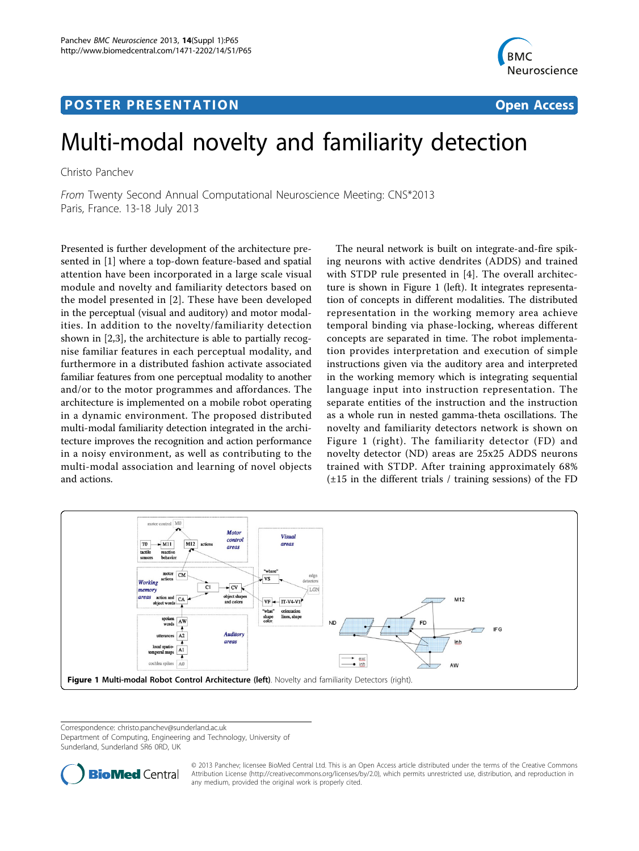# Post Experimental Police in the St English Police in the St English Police in the St English Police in the St<br>Police in the St English Police in the St English Police in the St English Police in the St English Police in



# Multi-modal novelty and familiarity detection

Christo Panchev

From Twenty Second Annual Computational Neuroscience Meeting: CNS\*2013 Paris, France. 13-18 July 2013

Presented is further development of the architecture presented in [\[1\]](#page-1-0) where a top-down feature-based and spatial attention have been incorporated in a large scale visual module and novelty and familiarity detectors based on the model presented in [[2](#page-1-0)]. These have been developed in the perceptual (visual and auditory) and motor modalities. In addition to the novelty/familiarity detection shown in [\[2,3](#page-1-0)], the architecture is able to partially recognise familiar features in each perceptual modality, and furthermore in a distributed fashion activate associated familiar features from one perceptual modality to another and/or to the motor programmes and affordances. The architecture is implemented on a mobile robot operating in a dynamic environment. The proposed distributed multi-modal familiarity detection integrated in the architecture improves the recognition and action performance in a noisy environment, as well as contributing to the multi-modal association and learning of novel objects and actions.

The neural network is built on integrate-and-fire spiking neurons with active dendrites (ADDS) and trained with STDP rule presented in [[4](#page-1-0)]. The overall architecture is shown in Figure 1 (left). It integrates representation of concepts in different modalities. The distributed representation in the working memory area achieve temporal binding via phase-locking, whereas different concepts are separated in time. The robot implementation provides interpretation and execution of simple instructions given via the auditory area and interpreted in the working memory which is integrating sequential language input into instruction representation. The separate entities of the instruction and the instruction as a whole run in nested gamma-theta oscillations. The novelty and familiarity detectors network is shown on Figure 1 (right). The familiarity detector (FD) and novelty detector (ND) areas are 25x25 ADDS neurons trained with STDP. After training approximately 68% (±15 in the different trials / training sessions) of the FD



Correspondence: [christo.panchev@sunderland.ac.uk](mailto:christo.panchev@sunderland.ac.uk)

Department of Computing, Engineering and Technology, University of Sunderland, Sunderland SR6 0RD, UK



© 2013 Panchev; licensee BioMed Central Ltd. This is an Open Access article distributed under the terms of the Creative Commons Attribution License [\(http://creativecommons.org/licenses/by/2.0](http://creativecommons.org/licenses/by/2.0)), which permits unrestricted use, distribution, and reproduction in any medium, provided the original work is properly cited.